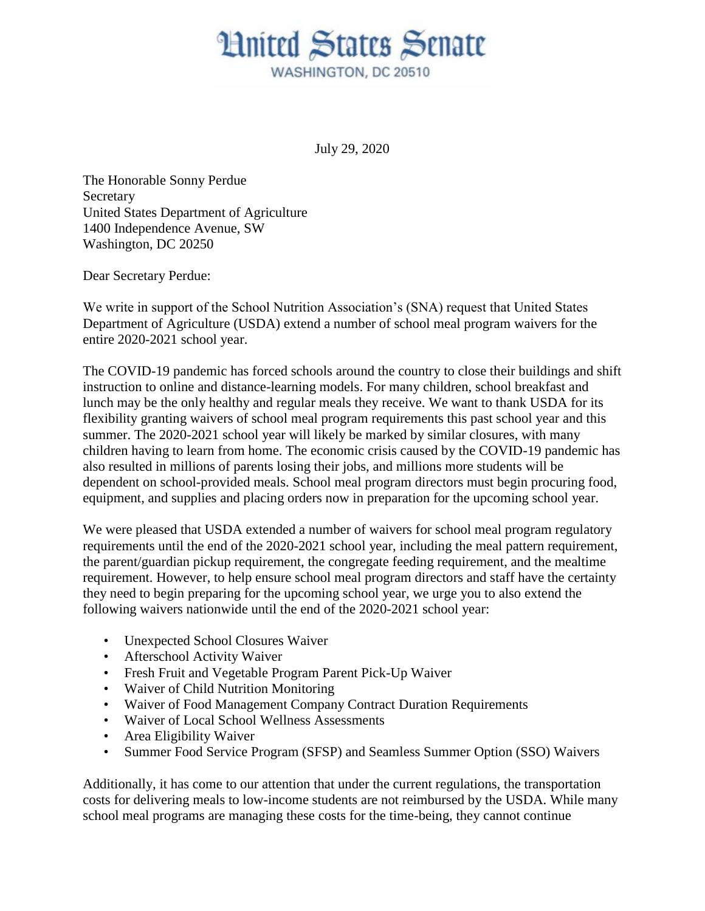## **Hnited States Senate** WASHINGTON, DC 20510

July 29, 2020

The Honorable Sonny Perdue Secretary United States Department of Agriculture 1400 Independence Avenue, SW Washington, DC 20250

Dear Secretary Perdue:

We write in support of the School Nutrition Association's (SNA) request that United States Department of Agriculture (USDA) extend a number of school meal program waivers for the entire 2020-2021 school year.

The COVID-19 pandemic has forced schools around the country to close their buildings and shift instruction to online and distance-learning models. For many children, school breakfast and lunch may be the only healthy and regular meals they receive. We want to thank USDA for its flexibility granting waivers of school meal program requirements this past school year and this summer. The 2020-2021 school year will likely be marked by similar closures, with many children having to learn from home. The economic crisis caused by the COVID-19 pandemic has also resulted in millions of parents losing their jobs, and millions more students will be dependent on school-provided meals. School meal program directors must begin procuring food, equipment, and supplies and placing orders now in preparation for the upcoming school year.

We were pleased that USDA extended a number of waivers for school meal program regulatory requirements until the end of the 2020-2021 school year, including the meal pattern requirement, the parent/guardian pickup requirement, the congregate feeding requirement, and the mealtime requirement. However, to help ensure school meal program directors and staff have the certainty they need to begin preparing for the upcoming school year, we urge you to also extend the following waivers nationwide until the end of the 2020-2021 school year:

- Unexpected School Closures Waiver
- Afterschool Activity Waiver
- Fresh Fruit and Vegetable Program Parent Pick-Up Waiver
- Waiver of Child Nutrition Monitoring
- Waiver of Food Management Company Contract Duration Requirements
- Waiver of Local School Wellness Assessments
- Area Eligibility Waiver
- Summer Food Service Program (SFSP) and Seamless Summer Option (SSO) Waivers

Additionally, it has come to our attention that under the current regulations, the transportation costs for delivering meals to low-income students are not reimbursed by the USDA. While many school meal programs are managing these costs for the time-being, they cannot continue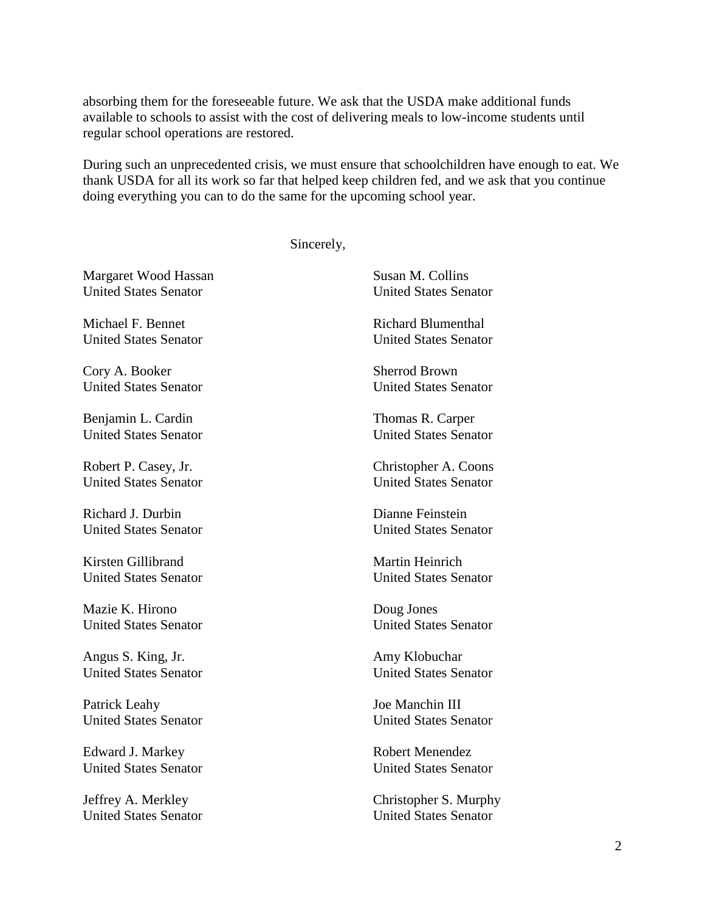absorbing them for the foreseeable future. We ask that the USDA make additional funds available to schools to assist with the cost of delivering meals to low-income students until regular school operations are restored.

During such an unprecedented crisis, we must ensure that schoolchildren have enough to eat. We thank USDA for all its work so far that helped keep children fed, and we ask that you continue doing everything you can to do the same for the upcoming school year.

Sincerely,

Margaret Wood Hassan Susan M. Collins<br>
United States Senator<br>
United States Senator United States Senator United States Senator

Michael F. Bennet Richard Blumenthal

Cory A. Booker Sherrod Brown

Benjamin L. Cardin Thomas R. Carper

Richard J. Durbin Dianne Feinstein

Kirsten Gillibrand Martin Heinrich United States Senator United States Senator

Mazie K. Hirono Doug Jones

Angus S. King, Jr. Amy Klobuchar

Patrick Leahy Joe Manchin III

Edward J. Markey Robert Menendez

Jeffrey A. Merkley Christopher S. Murphy

United States Senator United States Senator

United States Senator United States Senator

United States Senator United States Senator

Robert P. Casey, Jr. Christopher A. Coons United States Senator United States Senator

United States Senator United States Senator

United States Senator United States Senator

United States Senator United States Senator

United States Senator United States Senator

United States Senator United States Senator

United States Senator United States Senator